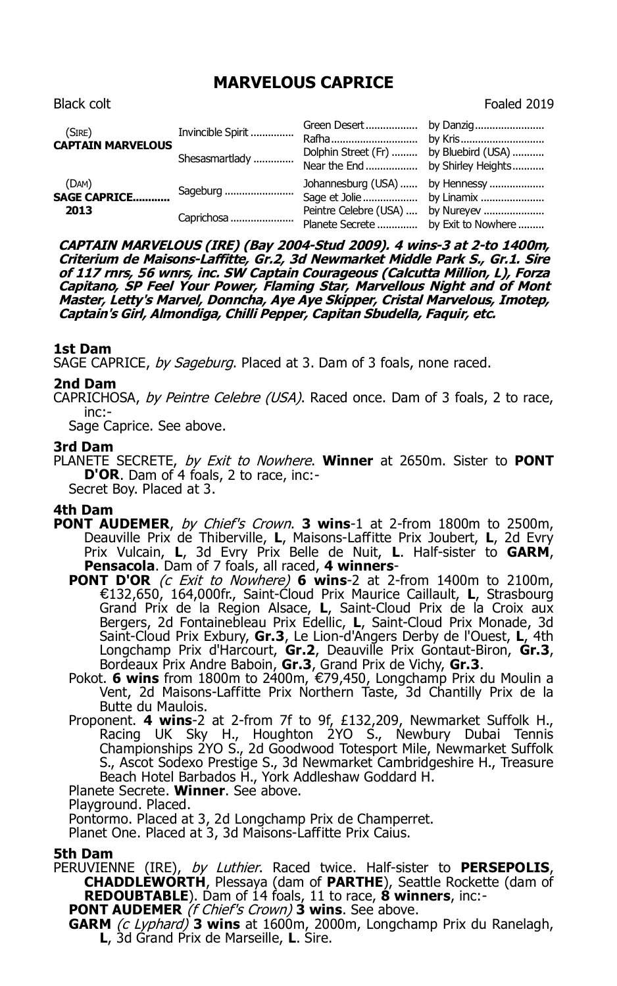# **MARVELOUS CAPRICE**

| (SIRE)<br><b>CAPTAIN MARVELOUS</b>   | Invincible Spirit<br>Shesasmartlady | Dolphin Street (Fr)  by Bluebird (USA)<br>Near the End  by Shirley Heights                                  |  |
|--------------------------------------|-------------------------------------|-------------------------------------------------------------------------------------------------------------|--|
| (DAM)<br><b>SAGE CAPRICE</b><br>2013 | Sageburg<br>Caprichosa              | Johannesburg (USA)  by Hennessy<br>Peintre Celebre (USA)  by Nureyev<br>Planete Secrete  by Exit to Nowhere |  |

**CAPTAIN MARVELOUS (IRE) (Bay 2004-Stud 2009). 4 wins-3 at 2-to 1400m, Criterium de Maisons-Laffitte, Gr.2, 3d Newmarket Middle Park S., Gr.1. Sire of 117 rnrs, 56 wnrs, inc. SW Captain Courageous (Calcutta Million, L), Forza Capitano, SP Feel Your Power, Flaming Star, Marvellous Night and of Mont Master, Letty's Marvel, Donncha, Aye Aye Skipper, Cristal Marvelous, Imotep, Captain's Girl, Almondiga, Chilli Pepper, Capitan Sbudella, Faquir, etc.**

## **1st Dam**

SAGE CAPRICE, by Sageburg. Placed at 3. Dam of 3 foals, none raced.

### **2nd Dam**

CAPRICHOSA, by Peintre Celebre (USA). Raced once. Dam of 3 foals, 2 to race, inc:-

Sage Caprice. See above.

#### **3rd Dam**

PLANETE SECRETE, by Exit to Nowhere. **Winner** at 2650m. Sister to **PONT D'OR**. Dam of 4 foals, 2 to race, inc:- Secret Boy. Placed at 3.

## **4th Dam**

- **PONT AUDEMER**, by Chief's Crown. **3 wins**-1 at 2-from 1800m to 2500m, Deauville Prix de Thiberville, **L**, Maisons-Laffitte Prix Joubert, **L**, 2d Evry Prix Vulcain, **L**, 3d Evry Prix Belle de Nuit, **L**. Half-sister to **GARM**, **Pensacola**. Dam of 7 foals, all raced, **4 winners**-
	- **PONT D'OR** (c Exit to Nowhere) **6 wins**-2 at 2-from 1400m to 2100m, €132,650, 164,000fr., Saint-Cloud Prix Maurice Caillault, **L**, Strasbourg Grand Prix de la Region Alsace, **L**, Saint-Cloud Prix de la Croix aux Bergers, 2d Fontainebleau Prix Edellic, **L**, Saint-Cloud Prix Monade, 3d Saint-Cloud Prix Exbury, **Gr.3**, Le Lion-d'Angers Derby de l'Ouest, **L**, 4th Longchamp Prix d'Harcourt, **Gr.2**, Deauville Prix Gontaut-Biron, **Gr.3**, Bordeaux Prix Andre Baboin, **Gr.3**, Grand Prix de Vichy, **Gr.3**.
	- Pokot. **6 wins** from 1800m to 2400m, €79,450, Longchamp Prix du Moulin a Vent, 2d Maisons-Laffitte Prix Northern Taste, 3d Chantilly Prix de la Butte du Maulois.
	- Proponent. **4 wins**-2 at 2-from 7f to 9f, £132,209, Newmarket Suffolk H., Racing UK Sky H., Houghton 2YO S., Newbury Dubai Tennis Championships 2YO S., 2d Goodwood Totesport Mile, Newmarket Suffolk S., Ascot Sodexo Prestige S., 3d Newmarket Cambridgeshire H., Treasure Beach Hotel Barbados H., York Addleshaw Goddard H.

Planete Secrete. **Winner**. See above.

Playground. Placed.

Pontormo. Placed at 3, 2d Longchamp Prix de Champerret.

Planet One. Placed at 3, 3d Maisons-Laffitte Prix Caius.

#### **5th Dam**

PERUVIENNE (IRE), by Luthier. Raced twice. Half-sister to **PERSEPOLIS**, **CHADDLEWORTH**, Plessaya (dam of **PARTHE**), Seattle Rockette (dam of **REDOUBTABLE**). Dam of 14 foals, 11 to race, **8 winners**, inc:-

**PONT AUDEMER** (f Chief's Crown) **3 wins**. See above.

**GARM** (c Lyphard) **3 wins** at 1600m, 2000m, Longchamp Prix du Ranelagh, **L**, 3d Grand Prix de Marseille, **L**. Sire.

Black colt **Foaled 2019**